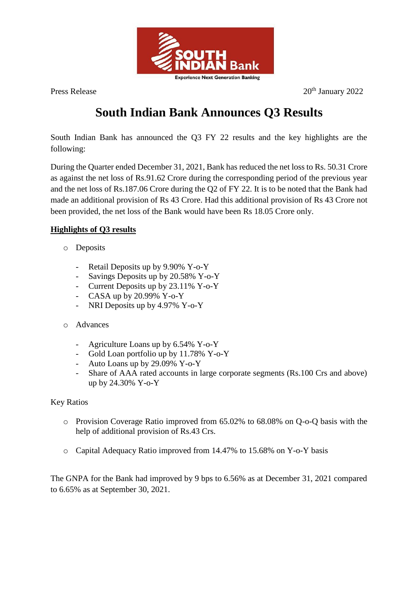

Press Release 20<sup>th</sup> January 2022

# **South Indian Bank Announces Q3 Results**

South Indian Bank has announced the Q3 FY 22 results and the key highlights are the following:

During the Quarter ended December 31, 2021, Bank has reduced the net loss to Rs. 50.31 Crore as against the net loss of Rs.91.62 Crore during the corresponding period of the previous year and the net loss of Rs.187.06 Crore during the Q2 of FY 22. It is to be noted that the Bank had made an additional provision of Rs 43 Crore. Had this additional provision of Rs 43 Crore not been provided, the net loss of the Bank would have been Rs 18.05 Crore only.

## **Highlights of Q3 results**

- o Deposits
	- Retail Deposits up by 9.90% Y-o-Y
	- Savings Deposits up by 20.58% Y-o-Y
	- Current Deposits up by 23.11% Y-o-Y
	- CASA up by  $20.99\%$  Y-o-Y
	- NRI Deposits up by 4.97% Y-o-Y
- o Advances
	- Agriculture Loans up by 6.54% Y-o-Y
	- Gold Loan portfolio up by 11.78% Y-o-Y
	- Auto Loans up by 29.09% Y-o-Y
	- Share of AAA rated accounts in large corporate segments (Rs.100 Crs and above) up by 24.30% Y-o-Y

### Key Ratios

- o Provision Coverage Ratio improved from 65.02% to 68.08% on Q-o-Q basis with the help of additional provision of Rs.43 Crs.
- o Capital Adequacy Ratio improved from 14.47% to 15.68% on Y-o-Y basis

The GNPA for the Bank had improved by 9 bps to 6.56% as at December 31, 2021 compared to 6.65% as at September 30, 2021.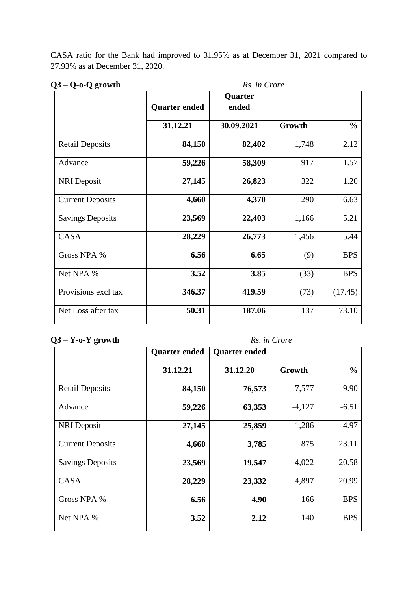CASA ratio for the Bank had improved to 31.95% as at December 31, 2021 compared to 27.93% as at December 31, 2020.

# **Q3 – Q-o-Q growth** *Rs. in Crore*

| $U - V - V - V$ growm   | IS. <i>M</i> UTVIE   |            |        |               |  |
|-------------------------|----------------------|------------|--------|---------------|--|
|                         |                      | Quarter    |        |               |  |
|                         | <b>Quarter ended</b> | ended      |        |               |  |
|                         | 31.12.21             | 30.09.2021 | Growth | $\frac{0}{0}$ |  |
| <b>Retail Deposits</b>  | 84,150               | 82,402     | 1,748  | 2.12          |  |
| Advance                 | 59,226               | 58,309     | 917    | 1.57          |  |
| <b>NRI</b> Deposit      | 27,145               | 26,823     | 322    | 1.20          |  |
| <b>Current Deposits</b> | 4,660                | 4,370      | 290    | 6.63          |  |
| <b>Savings Deposits</b> | 23,569               | 22,403     | 1,166  | 5.21          |  |
| CASA                    | 28,229               | 26,773     | 1,456  | 5.44          |  |
| Gross NPA %             | 6.56                 | 6.65       | (9)    | <b>BPS</b>    |  |
| Net NPA %               | 3.52                 | 3.85       | (33)   | <b>BPS</b>    |  |
| Provisions excl tax     | 346.37               | 419.59     | (73)   | (17.45)       |  |
| Net Loss after tax      | 50.31                | 187.06     | 137    | 73.10         |  |

#### **Q3 – Y-o-Y growth** *Rs. in Crore*

|                         | <b>Quarter ended</b> | <b>Quarter ended</b> |          |               |
|-------------------------|----------------------|----------------------|----------|---------------|
|                         | 31.12.21             | 31.12.20             | Growth   | $\frac{0}{0}$ |
| <b>Retail Deposits</b>  | 84,150               | 76,573               | 7,577    | 9.90          |
| Advance                 | 59,226               | 63,353               | $-4,127$ | $-6.51$       |
| <b>NRI</b> Deposit      | 27,145               | 25,859               | 1,286    | 4.97          |
| <b>Current Deposits</b> | 4,660                | 3,785                | 875      | 23.11         |
| <b>Savings Deposits</b> | 23,569               | 19,547               | 4,022    | 20.58         |
| <b>CASA</b>             | 28,229               | 23,332               | 4,897    | 20.99         |
| Gross NPA %             | 6.56                 | 4.90                 | 166      | <b>BPS</b>    |
| Net NPA %               | 3.52                 | 2.12                 | 140      | <b>BPS</b>    |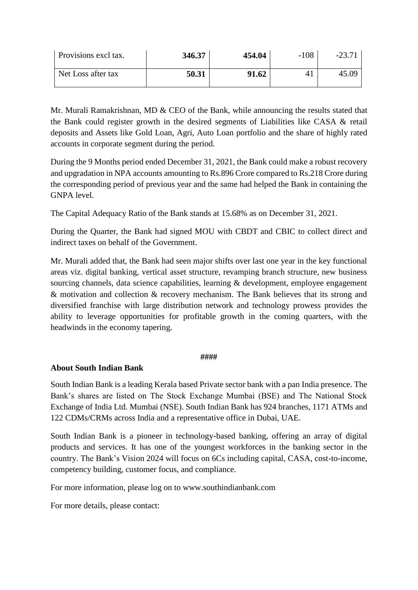| Provisions excl tax. | 346.37 | 454.04 | $-108$ | $-23.7^{\circ}$ |
|----------------------|--------|--------|--------|-----------------|
| Net Loss after tax   | 50.31  | 91.62  |        | 45.09           |

Mr. Murali Ramakrishnan, MD & CEO of the Bank, while announcing the results stated that the Bank could register growth in the desired segments of Liabilities like CASA & retail deposits and Assets like Gold Loan, Agri, Auto Loan portfolio and the share of highly rated accounts in corporate segment during the period.

During the 9 Months period ended December 31, 2021, the Bank could make a robust recovery and upgradation in NPA accounts amounting to Rs.896 Crore compared to Rs.218 Crore during the corresponding period of previous year and the same had helped the Bank in containing the GNPA level.

The Capital Adequacy Ratio of the Bank stands at 15.68% as on December 31, 2021.

During the Quarter, the Bank had signed MOU with CBDT and CBIC to collect direct and indirect taxes on behalf of the Government.

Mr. Murali added that, the Bank had seen major shifts over last one year in the key functional areas viz. digital banking, vertical asset structure, revamping branch structure, new business sourcing channels, data science capabilities, learning & development, employee engagement & motivation and collection & recovery mechanism. The Bank believes that its strong and diversified franchise with large distribution network and technology prowess provides the ability to leverage opportunities for profitable growth in the coming quarters, with the headwinds in the economy tapering.

#### **####**

### **About South Indian Bank**

South Indian Bank is a leading Kerala based Private sector bank with a pan India presence. The Bank's shares are listed on The Stock Exchange Mumbai (BSE) and The National Stock Exchange of India Ltd. Mumbai (NSE). South Indian Bank has 924 branches, 1171 ATMs and 122 CDMs/CRMs across India and a representative office in Dubai, UAE.

South Indian Bank is a pioneer in technology-based banking, offering an array of digital products and services. It has one of the youngest workforces in the banking sector in the country. The Bank's Vision 2024 will focus on 6Cs including capital, CASA, cost-to-income, competency building, customer focus, and compliance.

For more information, please log on to www.southindianbank.com

For more details, please contact: